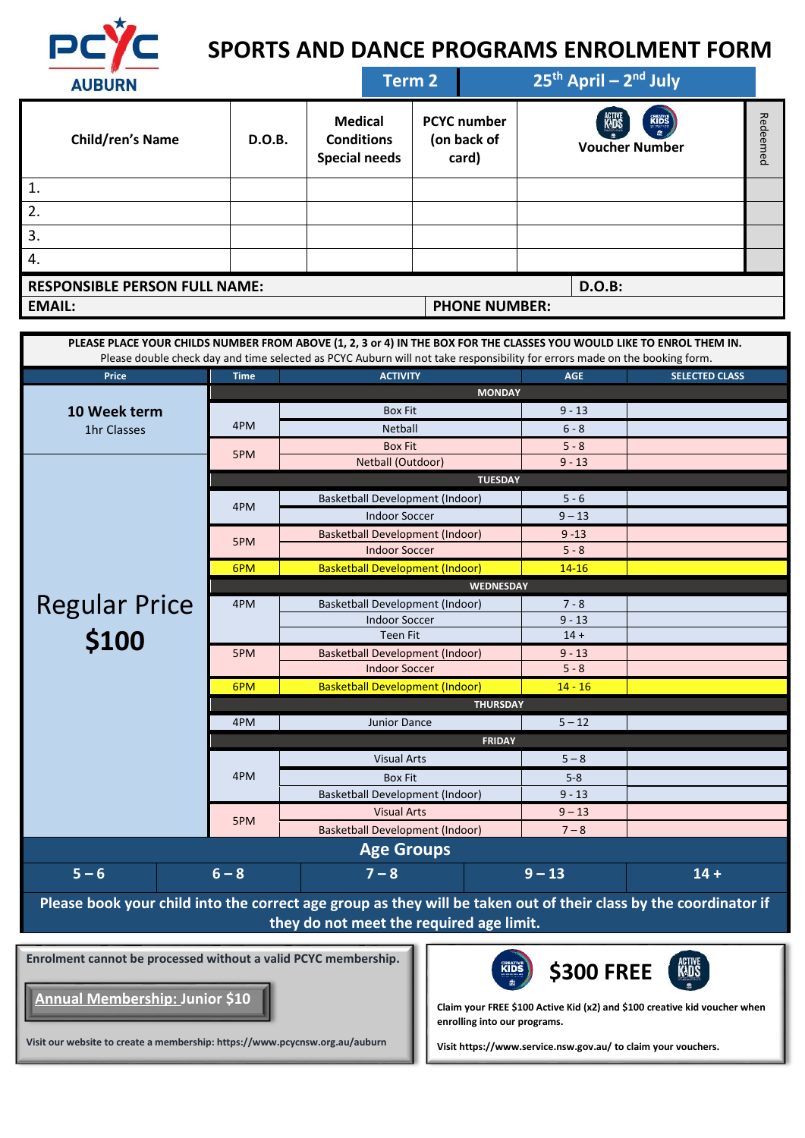

# **SPORTS AND DANCE PROGRAMS ENROLMENT FORM**

| <b>AUBURN</b>                        |        |                                                             | Term 2 |                                            |                      |                                             | $25th$ April – $2nd$ July |                 |
|--------------------------------------|--------|-------------------------------------------------------------|--------|--------------------------------------------|----------------------|---------------------------------------------|---------------------------|-----------------|
| <b>Child/ren's Name</b>              | D.O.B. | <b>Medical</b><br><b>Conditions</b><br><b>Special needs</b> |        | <b>PCYC</b> number<br>(on back of<br>card) |                      | KUS<br><b>KIDS</b><br><b>Voucher Number</b> |                           | Red<br>ъe<br>ēq |
| 1.                                   |        |                                                             |        |                                            |                      |                                             |                           |                 |
| 2.                                   |        |                                                             |        |                                            |                      |                                             |                           |                 |
| 3.                                   |        |                                                             |        |                                            |                      |                                             |                           |                 |
| 4.                                   |        |                                                             |        |                                            |                      |                                             |                           |                 |
| <b>RESPONSIBLE PERSON FULL NAME:</b> |        |                                                             |        |                                            |                      |                                             | <b>D.O.B:</b>             |                 |
| <b>EMAIL:</b>                        |        |                                                             |        |                                            | <b>PHONE NUMBER:</b> |                                             |                           |                 |

|                      |             | PLEASE PLACE YOUR CHILDS NUMBER FROM ABOVE (1, 2, 3 or 4) IN THE BOX FOR THE CLASSES YOU WOULD LIKE TO ENROL THEM IN.<br>Please double check day and time selected as PCYC Auburn will not take responsibility for errors made on the booking form. |               |                       |  |  |  |  |
|----------------------|-------------|-----------------------------------------------------------------------------------------------------------------------------------------------------------------------------------------------------------------------------------------------------|---------------|-----------------------|--|--|--|--|
| Price                | <b>Time</b> | <b>ACTIVITY</b>                                                                                                                                                                                                                                     | <b>AGE</b>    | <b>SELECTED CLASS</b> |  |  |  |  |
|                      |             |                                                                                                                                                                                                                                                     | <b>MONDAY</b> |                       |  |  |  |  |
| 10 Week term         |             | <b>Box Fit</b>                                                                                                                                                                                                                                      | $9 - 13$      |                       |  |  |  |  |
| 1hr Classes          | 4PM         | <b>Netball</b>                                                                                                                                                                                                                                      | $6 - 8$       |                       |  |  |  |  |
|                      |             | <b>Box Fit</b>                                                                                                                                                                                                                                      | $5 - 8$       |                       |  |  |  |  |
|                      | 5PM         | Netball (Outdoor)                                                                                                                                                                                                                                   | $9 - 13$      |                       |  |  |  |  |
|                      |             | <b>TUESDAY</b>                                                                                                                                                                                                                                      |               |                       |  |  |  |  |
|                      |             | <b>Basketball Development (Indoor)</b>                                                                                                                                                                                                              | $5 - 6$       |                       |  |  |  |  |
|                      | 4PM         | <b>Indoor Soccer</b>                                                                                                                                                                                                                                | $9 - 13$      |                       |  |  |  |  |
|                      |             | <b>Basketball Development (Indoor)</b>                                                                                                                                                                                                              | $9 - 13$      |                       |  |  |  |  |
|                      | 5PM         | <b>Indoor Soccer</b>                                                                                                                                                                                                                                | $5 - 8$       |                       |  |  |  |  |
|                      | 6PM         | <b>Basketball Development (Indoor)</b>                                                                                                                                                                                                              | $14 - 16$     |                       |  |  |  |  |
|                      |             | <b>WEDNESDAY</b>                                                                                                                                                                                                                                    |               |                       |  |  |  |  |
| <b>Regular Price</b> | 4PM         | Basketball Development (Indoor)                                                                                                                                                                                                                     | $7 - 8$       |                       |  |  |  |  |
|                      |             | <b>Indoor Soccer</b>                                                                                                                                                                                                                                | $9 - 13$      |                       |  |  |  |  |
| \$100                |             | <b>Teen Fit</b>                                                                                                                                                                                                                                     | $14 +$        |                       |  |  |  |  |
|                      | 5PM         | <b>Basketball Development (Indoor)</b>                                                                                                                                                                                                              | $9 - 13$      |                       |  |  |  |  |
|                      |             | <b>Indoor Soccer</b>                                                                                                                                                                                                                                | $5 - 8$       |                       |  |  |  |  |
|                      | 6PM         | <b>Basketball Development (Indoor)</b>                                                                                                                                                                                                              | $14 - 16$     |                       |  |  |  |  |
|                      |             | <b>THURSDAY</b>                                                                                                                                                                                                                                     |               |                       |  |  |  |  |
|                      | 4PM         | Junior Dance                                                                                                                                                                                                                                        | $5 - 12$      |                       |  |  |  |  |
|                      |             | <b>FRIDAY</b>                                                                                                                                                                                                                                       |               |                       |  |  |  |  |
|                      |             | <b>Visual Arts</b>                                                                                                                                                                                                                                  | $5 - 8$       |                       |  |  |  |  |
|                      | 4PM         | <b>Box Fit</b>                                                                                                                                                                                                                                      | $5 - 8$       |                       |  |  |  |  |
|                      |             | <b>Basketball Development (Indoor)</b>                                                                                                                                                                                                              | $9 - 13$      |                       |  |  |  |  |
|                      |             | <b>Visual Arts</b>                                                                                                                                                                                                                                  | $9 - 13$      |                       |  |  |  |  |
|                      | 5PM         | <b>Basketball Development (Indoor)</b>                                                                                                                                                                                                              | $7 - 8$       |                       |  |  |  |  |
|                      |             | <b>Age Groups</b>                                                                                                                                                                                                                                   |               |                       |  |  |  |  |
| $5 - 6$              | $6 - 8$     | $7 - 8$                                                                                                                                                                                                                                             | $9 - 13$      | $14 +$                |  |  |  |  |
|                      |             | Please book your child into the correct age group as they will be taken out of their class by the coordinator if                                                                                                                                    |               |                       |  |  |  |  |

**they do not meet the required age limit.** 

**Enrolment cannot be processed without a valid PCYC membership.** 

**Visit our website to create a membership: https://www.pcycnsw.org.au/auburn**

**Annual Membership: Junior \$10**



**Claim your FREE \$100 Active Kid (x2) and \$100 creative kid voucher when enrolling into our programs.**

**Visi[t https://www.service.nsw.gov.au/](https://www.service.nsw.gov.au/) to claim your vouchers.**